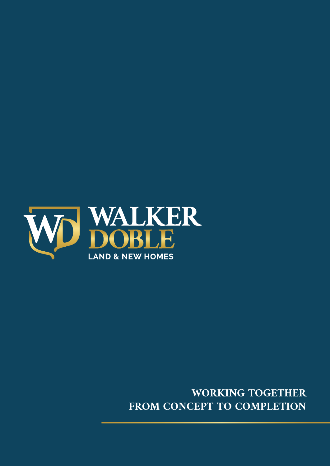

### **WORKING TOGETHER FROM CONCEPT TO COMPLETION**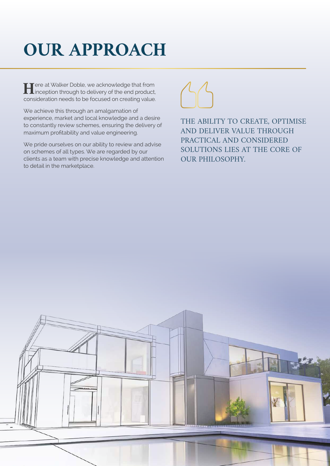# **OUR APPROACH**

Free at Walker Doble, we acknowledge that from<br>inception through to delivery of the end product,<br>consideration poods to be focused on creating value. inception through to delivery of the end product, consideration needs to be focused on creating value.

We achieve this through an amalgamation of experience, market and local knowledge and a desire to constantly review schemes, ensuring the delivery of maximum profitability and value engineering.

We pride ourselves on our ability to review and advise on schemes of all types. We are regarded by our clients as a team with precise knowledge and attention to detail in the marketplace.



THE ABILITY TO CREATE, OPTIMISE AND DELIVER VALUE THROUGH PRACTICAL AND CONSIDERED SOLUTIONS LIES AT THE CORE OF OUR PHILOSOPHY.

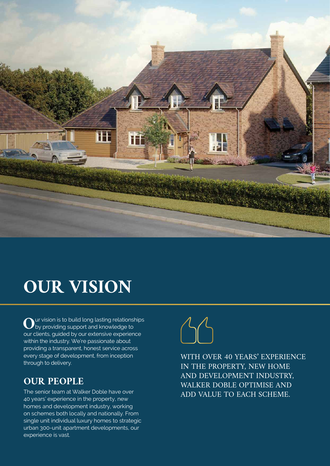

## **OUR VISION**

Our vision is to build long lasting relationships<br>by providing support and knowledge to<br>aur clients quided by our oxforsive experience by providing support and knowledge to our clients, guided by our extensive experience within the industry. We're passionate about providing a transparent, honest service across every stage of development, from inception through to delivery.

### **OUR PEOPLE**

The senior team at Walker Doble have over 40 years' experience in the property, new homes and development industry, working on schemes both locally and nationally. From single unit individual luxury homes to strategic urban 300-unit apartment developments, our experience is vast.



WITH OVER 40 YEARS' EXPERIENCE IN THE PROPERTY, NEW HOME AND DEVELOPMENT INDUSTRY, WALKER DOBLE OPTIMISE AND ADD VALUE TO EACH SCHEME.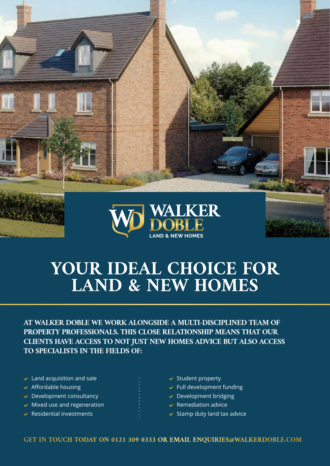

## **YOUR IDEAL CHOICE FOR LAND & NEW HOMES**

**AT WALKER DOBLE WE WORK ALONGSIDE A MULTI-DISCIPLINED TEAM OF PROPERTY PROFESSIONALS. THIS CLOSE RELATIONSHIP MEANS THAT OUR CLIENTS HAVE ACCESS TO NOT JUST NEW HOMES ADVICE BUT ALSO ACCESS TO SPECIALISTS IN THE FIELDS OF:**

- $\blacktriangleright$  Land acquisition and sale
- $\blacktriangleright$  Affordable housing
- $\blacktriangleright$  Development consultancy
- $\vee$  Mixed use and regeneration
- $\blacktriangleright$  Residential investments
- $\blacktriangleright$  Student property
- $\blacktriangleright$  Full development funding
- **Development bridging**
- $\blacktriangleright$  Remediation advice
- $\blacktriangleright$  Stamp duty land tax advice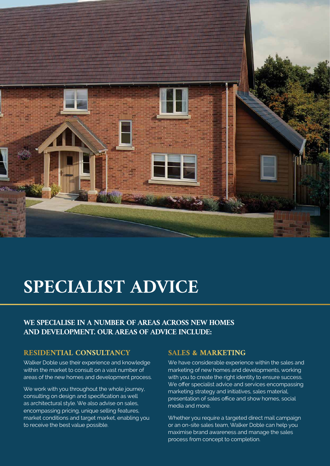

## **SPECIALIST ADVICE**

#### **WE SPECIALISE IN A NUMBER OF AREAS ACROSS NEW HOMES AND DEVELOPMENT. OUR AREAS OF ADVICE INCLUDE:**

#### **RESIDENTIAL CONSULTANCY**

Walker Doble use their experience and knowledge within the market to consult on a vast number of areas of the new homes and development process.

We work with you throughout the whole journey, consulting on design and specification as well as architectural style. We also advise on sales, encompassing pricing, unique selling features, market conditions and target market, enabling you to receive the best value possible.

#### **SALES & MARKETING**

We have considerable experience within the sales and marketing of new homes and developments, working with you to create the right identity to ensure success. We offer specialist advice and services encompassing marketing strategy and initiatives, sales material, presentation of sales office and show homes, social media and more.

Whether you require a targeted direct mail campaign or an on-site sales team, Walker Doble can help you maximise brand awareness and manage the sales process from concept to completion.